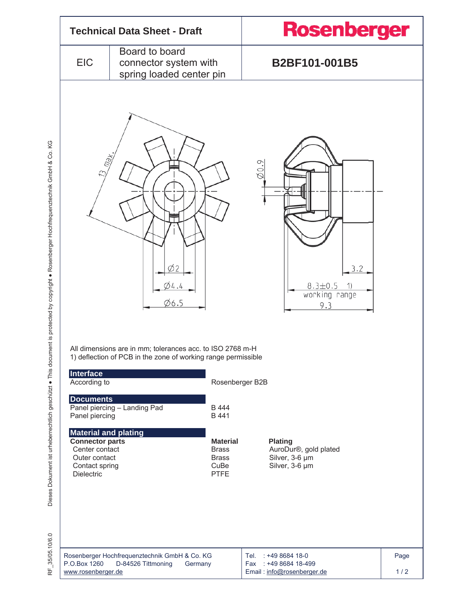

Dieses Dokument ist urheberrechtlich geschützt • This document is protected by copyright • Rosenberger Hochfrequenztechnik GmbH & Co. KG Dieses Dokument ist urheberrechtlich geschützt · This document is protected by copyright · Rosenberger Hochfrequenztechnik GmbH & Co. KG

RF\_35/05.10/6.0 RF 35/05.10/6.0